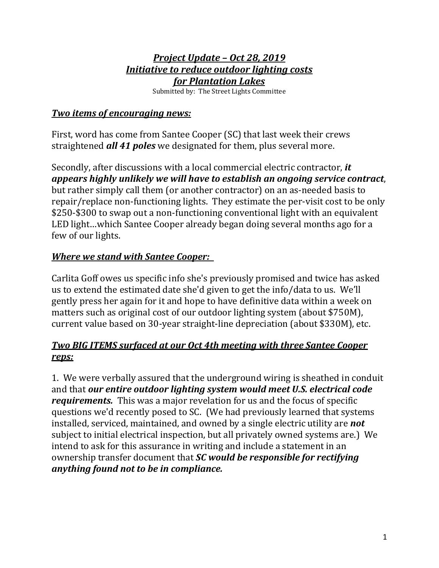# *Project Update – Oct 28, 2019 Initiative to reduce outdoor lighting costs for Plantation Lakes*

Submitted by: The Street Lights Committee

#### *Two items of encouraging news:*

First, word has come from Santee Cooper (SC) that last week their crews straightened *all 41 poles* we designated for them, plus several more.

Secondly, after discussions with a local commercial electric contractor, *it appears highly unlikely we will have to establish an ongoing service contract*, but rather simply call them (or another contractor) on an as-needed basis to repair/replace non-functioning lights. They estimate the per-visit cost to be only \$250-\$300 to swap out a non-functioning conventional light with an equivalent LED light…which Santee Cooper already began doing several months ago for a few of our lights.

## *Where we stand with Santee Cooper:*

Carlita Goff owes us specific info she's previously promised and twice has asked us to extend the estimated date she'd given to get the info/data to us. We'll gently press her again for it and hope to have definitive data within a week on matters such as original cost of our outdoor lighting system (about \$750M), current value based on 30-year straight-line depreciation (about \$330M), etc.

## *Two BIG ITEMS surfaced at our Oct 4th meeting with three Santee Cooper reps:*

1. We were verbally assured that the underground wiring is sheathed in conduit and that *our entire outdoor lighting system would meet U.S. electrical code requirements.* This was a major revelation for us and the focus of specific questions we'd recently posed to SC. (We had previously learned that systems installed, serviced, maintained, and owned by a single electric utility are *not* subject to initial electrical inspection, but all privately owned systems are.) We intend to ask for this assurance in writing and include a statement in an ownership transfer document that *SC would be responsible for rectifying anything found not to be in compliance.*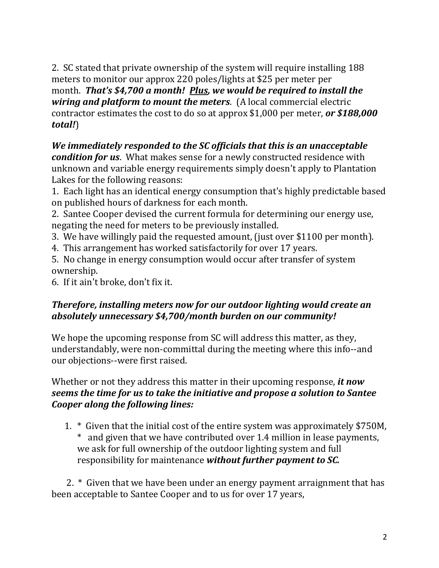2. SC stated that private ownership of the system will require installing 188 meters to monitor our approx 220 poles/lights at \$25 per meter per month. *That's \$4,700 a month! Plus, we would be required to install the wiring and platform to mount the meters*. (A local commercial electric contractor estimates the cost to do so at approx \$1,000 per meter, *or \$188,000 total!*)

*We immediately responded to the SC officials that this is an unacceptable condition for us*. What makes sense for a newly constructed residence with unknown and variable energy requirements simply doesn't apply to Plantation Lakes for the following reasons:

1. Each light has an identical energy consumption that's highly predictable based on published hours of darkness for each month.

2. Santee Cooper devised the current formula for determining our energy use, negating the need for meters to be previously installed.

- 3. We have willingly paid the requested amount, (just over \$1100 per month).
- 4. This arrangement has worked satisfactorily for over 17 years.
- 5. No change in energy consumption would occur after transfer of system ownership.

6. If it ain't broke, don't fix it.

#### *Therefore, installing meters now for our outdoor lighting would create an absolutely unnecessary \$4,700/month burden on our community!*

We hope the upcoming response from SC will address this matter, as they, understandably, were non-committal during the meeting where this info--and our objections--were first raised.

Whether or not they address this matter in their upcoming response, *it now seems the time for us to take the initiative and propose a solution to Santee Cooper along the following lines:*

1. \* Given that the initial cost of the entire system was approximately \$750M, \* and given that we have contributed over 1.4 million in lease payments, we ask for full ownership of the outdoor lighting system and full responsibility for maintenance *without further payment to SC.*

 2. \* Given that we have been under an energy payment arraignment that has been acceptable to Santee Cooper and to us for over 17 years,